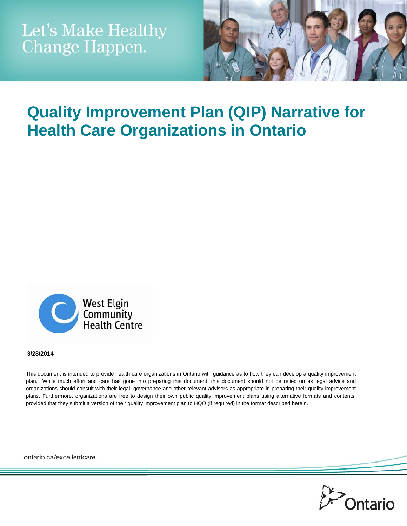

# **Quality Improvement Plan (QIP) Narrative for Health Care Organizations in Ontario**



#### **3/28/2014**

This document is intended to provide health care organizations in Ontario with guidance as to how they can develop a quality improvement plan. While much effort and care has gone into preparing this document, this document should not be relied on as legal advice and organizations should consult with their legal, governance and other relevant advisors as appropriate in preparing their quality improvement plans. Furthermore, organizations are free to design their own public quality improvement plans using alternative formats and contents, provided that they submit a version of their quality improvement plan to HQO (if required) in the format described herein.

ontario.ca/excellentcare

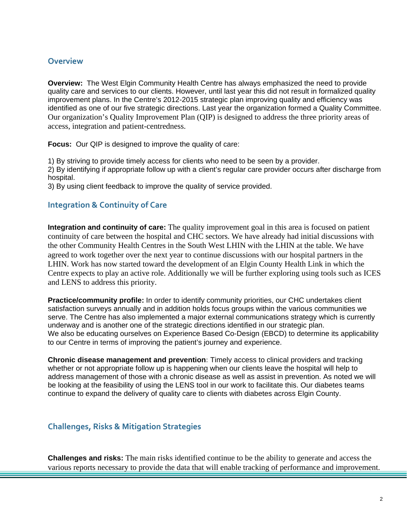## **Overview**

**Overview:** The West Elgin Community Health Centre has always emphasized the need to provide quality care and services to our clients. However, until last year this did not result in formalized quality improvement plans. In the Centre's 2012-2015 strategic plan improving quality and efficiency was identified as one of our five strategic directions. Last year the organization formed a Quality Committee. Our organization's Quality Improvement Plan (QIP) is designed to address the three priority areas of access, integration and patient-centredness.

**Focus:** Our QIP is designed to improve the quality of care:

1) By striving to provide timely access for clients who need to be seen by a provider.

2) By identifying if appropriate follow up with a client's regular care provider occurs after discharge from hospital.

3) By using client feedback to improve the quality of service provided.

## **Integration & Continuity of Care**

**Integration and continuity of care:** The quality improvement goal in this area is focused on patient continuity of care between the hospital and CHC sectors. We have already had initial discussions with the other Community Health Centres in the South West LHIN with the LHIN at the table. We have agreed to work together over the next year to continue discussions with our hospital partners in the LHIN. Work has now started toward the development of an Elgin County Health Link in which the Centre expects to play an active role. Additionally we will be further exploring using tools such as ICES and LENS to address this priority.

**Practice/community profile:** In order to identify community priorities, our CHC undertakes client satisfaction surveys annually and in addition holds focus groups within the various communities we serve. The Centre has also implemented a major external communications strategy which is currently underway and is another one of the strategic directions identified in our strategic plan. We also be educating ourselves on Experience Based Co-Design (EBCD) to determine its applicability to our Centre in terms of improving the patient's journey and experience.

**Chronic disease management and prevention:** Timely access to clinical providers and tracking whether or not appropriate follow up is happening when our clients leave the hospital will help to address management of those with a chronic disease as well as assist in prevention. As noted we will be looking at the feasibility of using the LENS tool in our work to facilitate this. Our diabetes teams continue to expand the delivery of quality care to clients with diabetes across Elgin County.

# **Challenges, Risks & Mitigation Strategies**

**Challenges and risks:** The main risks identified continue to be the ability to generate and access the various reports necessary to provide the data that will enable tracking of performance and improvement.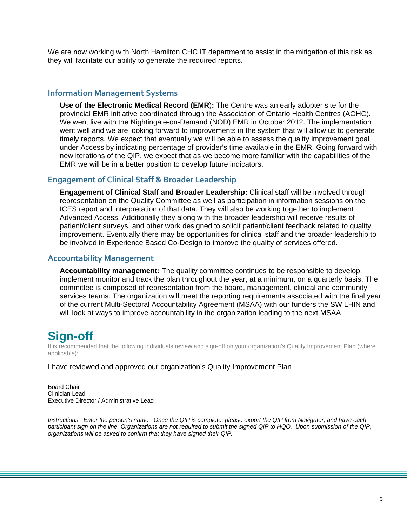We are now working with North Hamilton CHC IT department to assist in the mitigation of this risk as they will facilitate our ability to generate the required reports.

### **Information Management Systems**

**Use of the Electronic Medical Record (EMR**)**:** The Centre was an early adopter site for the provincial EMR initiative coordinated through the Association of Ontario Health Centres (AOHC). We went live with the Nightingale-on-Demand (NOD) EMR in October 2012. The implementation went well and we are looking forward to improvements in the system that will allow us to generate timely reports. We expect that eventually we will be able to assess the quality improvement goal under Access by indicating percentage of provider's time available in the EMR. Going forward with new iterations of the QIP, we expect that as we become more familiar with the capabilities of the EMR we will be in a better position to develop future indicators.

#### **Engagement of Clinical Staff & Broader Leadership**

**Engagement of Clinical Staff and Broader Leadership:** Clinical staff will be involved through representation on the Quality Committee as well as participation in information sessions on the ICES report and interpretation of that data. They will also be working together to implement Advanced Access. Additionally they along with the broader leadership will receive results of patient/client surveys, and other work designed to solicit patient/client feedback related to quality improvement. Eventually there may be opportunities for clinical staff and the broader leadership to be involved in Experience Based Co-Design to improve the quality of services offered.

#### **Accountability Management**

**Accountability management:** The quality committee continues to be responsible to develop, implement monitor and track the plan throughout the year, at a minimum, on a quarterly basis. The committee is composed of representation from the board, management, clinical and community services teams. The organization will meet the reporting requirements associated with the final year of the current Multi-Sectoral Accountability Agreement (MSAA) with our funders the SW LHIN and will look at ways to improve accountability in the organization leading to the next MSAA

# **Sign-off**

It is recommended that the following individuals review and sign-off on your organization's Quality Improvement Plan (where applicable):

I have reviewed and approved our organization's Quality Improvement Plan

Board Chair Clinician Lead Executive Director / Administrative Lead

*Instructions: Enter the person's name. Once the QIP is complete, please export the QIP from Navigator, and have each participant sign on the line. Organizations are not required to submit the signed QIP to HQO. Upon submission of the QIP, organizations will be asked to confirm that they have signed their QIP.*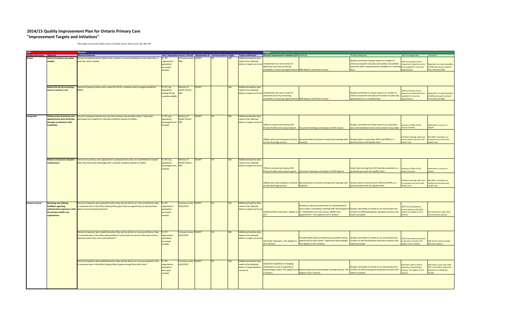#### **2014/15 Quality Improvement Plan for Ontario Primary Care "Improvement Targets and Initiatives"**

West Elgin Community Health Centre 153 Main Street, West Lorne, ON N0L 2P0

|                                    |                                    | <b>Measure</b>                                                                            |                      |                 |        |     |                                                                                                |                                                                                            |                                                                                                                                              |                                                                                                                                                                      |                                                            |                                                               |
|------------------------------------|------------------------------------|-------------------------------------------------------------------------------------------|----------------------|-----------------|--------|-----|------------------------------------------------------------------------------------------------|--------------------------------------------------------------------------------------------|----------------------------------------------------------------------------------------------------------------------------------------------|----------------------------------------------------------------------------------------------------------------------------------------------------------------------|------------------------------------------------------------|---------------------------------------------------------------|
| <b>Quality dimension</b> Objective |                                    | <b>Measure/Indicator</b>                                                                  |                      |                 |        |     | Unit / Population Source / Period Organization Id Current performa Target Target justification | Planned improvement initiatives (Cha Methods                                               |                                                                                                                                              | Process measures                                                                                                                                                     | Goal for change ideas                                      | Comments                                                      |
| Access                             | ccess to primary care when<br>eded | Percent of patients/clients able to see a doctor or nurse practitioner on the same day or | 6/PC<br>organization | -house survey   | 7245'  |     | <b>Additional baseline data</b><br>reeds to be collected                                       |                                                                                            |                                                                                                                                              | Quality committee reviews report on number of                                                                                                                        |                                                            |                                                               |
|                                    |                                    | next day, when needed.                                                                    |                      |                 |        |     |                                                                                                | before a target can be set 1)Implement our own version of                                  |                                                                                                                                              | lients surveyed bi-annually and number of available                                                                                                                  | 00% of Providers time is<br>easured to determine total     |                                                               |
|                                    |                                    |                                                                                           | opulation            |                 |        |     |                                                                                                | advanced access by increasing                                                              |                                                                                                                                              | ame day walk in appointments available on a monthly                                                                                                                  | me available for same day                                  | Dependent on reporting ability<br>of EMR and reports received |
|                                    |                                    |                                                                                           | surveyed             |                 |        |     |                                                                                                | <b>Ivailability of same day appointments EMR Reports and Client Surveys</b>                |                                                                                                                                              |                                                                                                                                                                      |                                                            | om LENS and SPIRE                                             |
|                                    |                                    |                                                                                           | ample)               |                 |        |     |                                                                                                |                                                                                            |                                                                                                                                              |                                                                                                                                                                      |                                                            |                                                               |
|                                    |                                    |                                                                                           |                      |                 |        |     |                                                                                                |                                                                                            |                                                                                                                                              |                                                                                                                                                                      |                                                            |                                                               |
|                                    | educe ED use by increasing         | ercent of patients/clients who visited the ED for conditions best managed elsewhere       | / PC org             | inistry of      | 32245* |     | <b>Additional baseline data</b>                                                                |                                                                                            |                                                                                                                                              |                                                                                                                                                                      |                                                            |                                                               |
|                                    | access to primary care             | BME).                                                                                     | pulation             | alth Portal /   |        |     | eeds to be collected                                                                           |                                                                                            |                                                                                                                                              |                                                                                                                                                                      | 00% of Provider time is                                    |                                                               |
|                                    |                                    |                                                                                           | visiting ED (for     |                 |        |     |                                                                                                | before a target can be set 1)Implement our own version of<br>advanced access by increasing |                                                                                                                                              | Quality committee to review reports on number of<br>lients surveyed bi-annually and number of same day                                                               | asured to determine time                                   | ependent on reporting ability                                 |
|                                    |                                    |                                                                                           | onditions BME        |                 |        |     |                                                                                                | vailability of same day appointment                                                        | <b>EMR Reports and Client Surveys</b>                                                                                                        | pointments on a monthly basis                                                                                                                                        | vailable for same day<br><b>untments</b>                   | of EMR and reports received<br>om LENS and SPIRE              |
|                                    |                                    |                                                                                           |                      |                 |        |     |                                                                                                |                                                                                            |                                                                                                                                              |                                                                                                                                                                      |                                                            |                                                               |
|                                    |                                    |                                                                                           |                      |                 |        |     |                                                                                                |                                                                                            |                                                                                                                                              |                                                                                                                                                                      |                                                            |                                                               |
| Integrated                         | imely access to primary care       | ercent of patients/clients who saw their primary care provider within 7 days after        | % / PC org           | Ministry of     | 92245* | 100 | Additional baseline data                                                                       |                                                                                            |                                                                                                                                              |                                                                                                                                                                      |                                                            |                                                               |
|                                    | ppointments post-discharge         | lischarge from hospital for selected conditions (based on CMGs).                          | opulation            | lealth Portal   |        |     | eeds to be collected                                                                           |                                                                                            |                                                                                                                                              |                                                                                                                                                                      |                                                            |                                                               |
|                                    | hrough coordination with           |                                                                                           | discharged from      | TRD             |        |     | before a target can be se                                                                      |                                                                                            |                                                                                                                                              |                                                                                                                                                                      |                                                            |                                                               |
|                                    | ospital(s).                        |                                                                                           | ospital              |                 |        |     |                                                                                                | 1) Plan to receive and review ICES                                                         |                                                                                                                                              | Quality committee to review reports on a quarterly                                                                                                                   | Analysis of 100% of ICES                                   | pendent on access to                                          |
|                                    |                                    |                                                                                           |                      |                 |        |     |                                                                                                |                                                                                            | Practice Profile semi-annual reports  Document meetings and analysis of ICES reports                                                         | asis and implement Action Items where measurable                                                                                                                     | eports received                                            | <b>Prince</b>                                                 |
|                                    |                                    |                                                                                           |                      |                 |        |     |                                                                                                |                                                                                            |                                                                                                                                              |                                                                                                                                                                      |                                                            |                                                               |
|                                    |                                    |                                                                                           |                      |                 |        |     |                                                                                                |                                                                                            |                                                                                                                                              |                                                                                                                                                                      |                                                            |                                                               |
|                                    |                                    |                                                                                           |                      |                 |        |     |                                                                                                |                                                                                            | 2) Meet with local hospitals to discuss Documentation of actions arising from meetings with                                                  | Review reports received by LENS and SPIRE on a                                                                                                                       | chedule meetings with local<br>rea hospitals and work with | SW LHIN is starting to co-                                    |
|                                    |                                    |                                                                                           |                      |                 |        |     |                                                                                                | urrent discharge process                                                                   | hospitals                                                                                                                                    | uarterly basis with Quality team                                                                                                                                     | alth Links                                                 | ordinate this process with<br>ealth Links                     |
|                                    |                                    |                                                                                           |                      |                 |        |     |                                                                                                |                                                                                            |                                                                                                                                              |                                                                                                                                                                      |                                                            |                                                               |
|                                    |                                    |                                                                                           |                      |                 |        |     |                                                                                                |                                                                                            |                                                                                                                                              |                                                                                                                                                                      |                                                            |                                                               |
|                                    | Reduce unnecessary hospital        | Percent of a primary care organization's patients/clients who are readmitted to hospital  | % / PC org           | Ministry of     | 92245* |     | <b>Additional baseline data</b>                                                                |                                                                                            |                                                                                                                                              |                                                                                                                                                                      |                                                            |                                                               |
|                                    | eadmissions                        | after they have been discharged with a specific condition (based on CMGs).                | opulation            | lealth Portal / |        |     | needs to be collected                                                                          |                                                                                            |                                                                                                                                              |                                                                                                                                                                      |                                                            |                                                               |
|                                    |                                    |                                                                                           | discharged from      | <b>TBD</b>      |        |     | before a target can be set                                                                     |                                                                                            |                                                                                                                                              |                                                                                                                                                                      |                                                            |                                                               |
|                                    |                                    |                                                                                           | ospital              |                 |        |     |                                                                                                | Delan to receive and review ICES                                                           |                                                                                                                                              | Action items arising from ICES and documented on a                                                                                                                   | Analysis of 100% of ICES                                   | ependent on access to                                         |
|                                    |                                    |                                                                                           |                      |                 |        |     |                                                                                                | Practice Profile semi-annual reports                                                       | Document meetings and analysis of ICES Reports                                                                                               | uarterly basis with the Quality Team                                                                                                                                 | orts received                                              |                                                               |
|                                    |                                    |                                                                                           |                      |                 |        |     |                                                                                                |                                                                                            |                                                                                                                                              |                                                                                                                                                                      |                                                            |                                                               |
|                                    |                                    |                                                                                           |                      |                 |        |     |                                                                                                |                                                                                            |                                                                                                                                              |                                                                                                                                                                      |                                                            |                                                               |
|                                    |                                    |                                                                                           |                      |                 |        |     |                                                                                                |                                                                                            | 2) Meet with local hospitals to discuss Documentation of actions arising from meetings with Review reports received from LENS and SPIRE on a |                                                                                                                                                                      | chedule meetings with local                                | SW LHIN is starting to co-                                    |
|                                    |                                    |                                                                                           |                      |                 |        |     |                                                                                                | current discharge process                                                                  | hospitals                                                                                                                                    | uarterly basis with the Quality team                                                                                                                                 | re hospitals and work with<br>lealth Links                 | ordinate this process with<br>lealth Links                    |
|                                    |                                    |                                                                                           |                      |                 |        |     |                                                                                                |                                                                                            |                                                                                                                                              |                                                                                                                                                                      |                                                            |                                                               |
| <b>Patient-centred</b>             |                                    |                                                                                           |                      |                 | 92245  |     | dditional baseline dat                                                                         |                                                                                            |                                                                                                                                              |                                                                                                                                                                      |                                                            |                                                               |
|                                    | Receiving and utilizing            | ercent of patients who stated that when they see the doctor or nurse practitioner, they   | 6/PC                 | -house survey   |        |     |                                                                                                |                                                                                            | evelop an advocacy help sheet for clients/patients                                                                                           |                                                                                                                                                                      |                                                            |                                                               |
|                                    | eedback regarding                  | someone else in the office (always/often) give them an opportunity to ask questions       | preanization         | 2014/2015       |        |     | eeds to be collected                                                                           |                                                                                            | and to pilot a orientation meeting with clients/patients Quality committee to review on an annual basis the                                  |                                                                                                                                                                      | 0% of clients/patients                                     |                                                               |
|                                    | atient/client experience with      | about recommended treatment?                                                              | opulation            |                 |        |     | efore a target can be se                                                                       |                                                                                            | Detient/Client education. Applies to on "Getting the most out of your Health Care                                                            | umber of staff participation education sessions and                                                                                                                  | eceive advocacy fact/help<br>eets. This applies to all 3   | We will look for other client                                 |
|                                    | e primary health care              |                                                                                           | arveyed              |                 |        |     |                                                                                                |                                                                                            | ppointment". This applies to all 3 sections                                                                                                  | lients surveyed.                                                                                                                                                     |                                                            | munication options                                            |
|                                    | rganization.                       |                                                                                           | mple)                |                 |        |     |                                                                                                |                                                                                            |                                                                                                                                              |                                                                                                                                                                      |                                                            |                                                               |
|                                    |                                    |                                                                                           |                      |                 |        |     |                                                                                                |                                                                                            |                                                                                                                                              |                                                                                                                                                                      |                                                            |                                                               |
|                                    |                                    | Percent of patients who stated that when they see the doctor or nurse practitioner, they  | %/PC                 | n-house survey  | 92245* |     | <b>Additional baseline data</b>                                                                |                                                                                            |                                                                                                                                              |                                                                                                                                                                      |                                                            |                                                               |
|                                    |                                    | or someone else in the office (always/often) involve them as much as they want to be in   | reanization          | 2014/2015       |        |     | needs to be collected                                                                          |                                                                                            | rovide health literacy workshop to providers and an                                                                                          | Quality committee to review on an annual basis the                                                                                                                   |                                                            |                                                               |
|                                    |                                    | lecisions about their care and treatment?                                                 | opulation            |                 |        |     | before a target can be se                                                                      | )Provider education. This applies to                                                       | opportunity to learn about "experience based design"                                                                                         | umber of staff participation education sessions and                                                                                                                  | 00% of providers participate                               |                                                               |
|                                    |                                    |                                                                                           | surveyed             |                 |        |     |                                                                                                | all 3 sections                                                                             | his applies to all 3 sections                                                                                                                | lients surveyed                                                                                                                                                      | education initiative.This<br>plies to all 3 sections       | Will look for other provider<br>ducation options              |
|                                    |                                    |                                                                                           | ample)               |                 |        |     |                                                                                                |                                                                                            |                                                                                                                                              |                                                                                                                                                                      |                                                            |                                                               |
|                                    |                                    |                                                                                           |                      |                 |        |     |                                                                                                |                                                                                            |                                                                                                                                              |                                                                                                                                                                      |                                                            |                                                               |
|                                    |                                    | Percent of patients who stated that when they see the doctor or nurse practitioner, they  | %/PC                 | n-house survey  | 92245* |     | <b>Additional baseline data</b>                                                                |                                                                                            |                                                                                                                                              |                                                                                                                                                                      |                                                            |                                                               |
|                                    |                                    | r someone else in the office (always/often) spend enough time with them?                  | rganization          | 2014/2015       |        |     | eeds to be collected                                                                           | DExamine feasibility of changing                                                           |                                                                                                                                              |                                                                                                                                                                      | 0% More staff to attend                                    | ill need to work with other                                   |
|                                    |                                    |                                                                                           | opulation            |                 |        |     | before a target baseline                                                                       | satisfaction survey to experience                                                          |                                                                                                                                              | Quality committee to review on an annual basis the                                                                                                                   | perience based design                                      | 'HC's and I HIN to determine                                  |
|                                    |                                    |                                                                                           | surveved             |                 |        |     | can be set                                                                                     | 3 sections                                                                                 | applies to all 3 sections                                                                                                                    | based design model. This applies to all Attend experience based design training sessions. This number of staff participation education sessions and<br>ents surveyed | aining. This applies to all 3                              | easibility of making this<br>ange                             |
|                                    |                                    |                                                                                           | ample)               |                 |        |     |                                                                                                |                                                                                            |                                                                                                                                              |                                                                                                                                                                      |                                                            |                                                               |
|                                    |                                    |                                                                                           |                      |                 |        |     |                                                                                                |                                                                                            |                                                                                                                                              |                                                                                                                                                                      |                                                            |                                                               |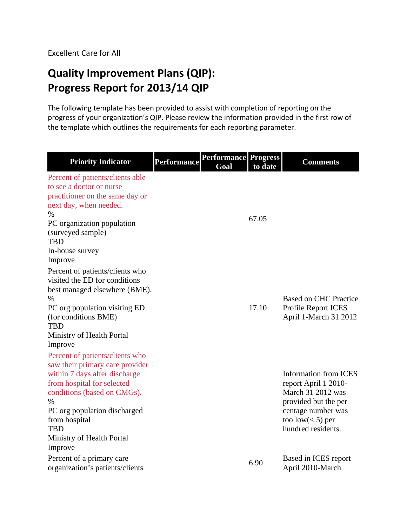# **Quality Improvement Plans (QIP): Progress Report for 2013/14 QIP**

The following template has been provided to assist with completion of reporting on the progress of your organization's QIP. Please review the information provided in the first row of the template which outlines the requirements for each reporting parameter.

| <b>Priority Indicator</b>                                                                                                                                                                                                                                                    | <b>Performance</b> | <b>Performance Progress</b><br>Goal | to date | <b>Comments</b>                                                                                                                                                      |
|------------------------------------------------------------------------------------------------------------------------------------------------------------------------------------------------------------------------------------------------------------------------------|--------------------|-------------------------------------|---------|----------------------------------------------------------------------------------------------------------------------------------------------------------------------|
| Percent of patients/clients able<br>to see a doctor or nurse<br>practitioner on the same day or<br>next day, when needed.<br>$\%$<br>PC organization population<br>(surveyed sample)<br><b>TBD</b><br>In-house survey                                                        |                    |                                     | 67.05   |                                                                                                                                                                      |
| Improve<br>Percent of patients/clients who<br>visited the ED for conditions<br>best managed elsewhere (BME).<br>%<br>PC org population visiting ED<br>(for conditions BME)<br><b>TBD</b><br>Ministry of Health Portal<br>Improve                                             |                    |                                     | 17.10   | <b>Based on CHC Practice</b><br>Profile Report ICES<br>April 1-March 31 2012                                                                                         |
| Percent of patients/clients who<br>saw their primary care provider<br>within 7 days after discharge<br>from hospital for selected<br>conditions (based on CMGs).<br>%<br>PC org population discharged<br>from hospital<br><b>TBD</b><br>Ministry of Health Portal<br>Improve |                    |                                     |         | <b>Information from ICES</b><br>report April 1 2010-<br>March 31 2012 was<br>provided but the per<br>centage number was<br>too low $(< 5)$ per<br>hundred residents. |
| Percent of a primary care<br>organization's patients/clients                                                                                                                                                                                                                 |                    |                                     | 6.90    | Based in ICES report<br>April 2010-March                                                                                                                             |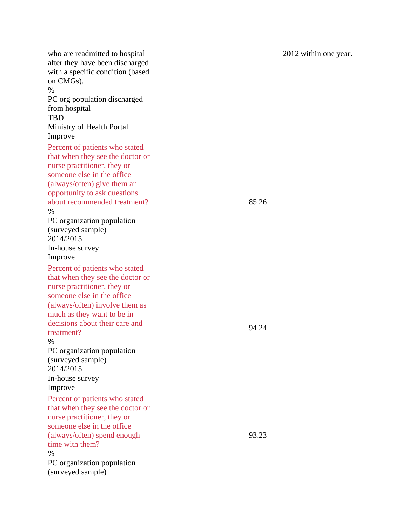who are readmitted to hospital after they have been discharged with a specific condition (based on CMGs).  $\%$ PC org population discharged from hospital TBD Ministry of Health Portal Improve 2012 within one year. Percent of patients who stated that when they see the doctor or nurse practitioner, they or someone else in the office (always/often) give them an opportunity to ask questions about recommended treatment? % PC organization population (surveyed sample) 2014/2015 In-house survey Improve 85.26 Percent of patients who stated that when they see the doctor or nurse practitioner, they or someone else in the office (always/often) involve them as much as they want to be in decisions about their care and treatment? % PC organization population (surveyed sample) 2014/2015 In-house survey Improve 94.24 Percent of patients who stated that when they see the doctor or nurse practitioner, they or someone else in the office (always/often) spend enough time with them? % PC organization population (surveyed sample) 93.23